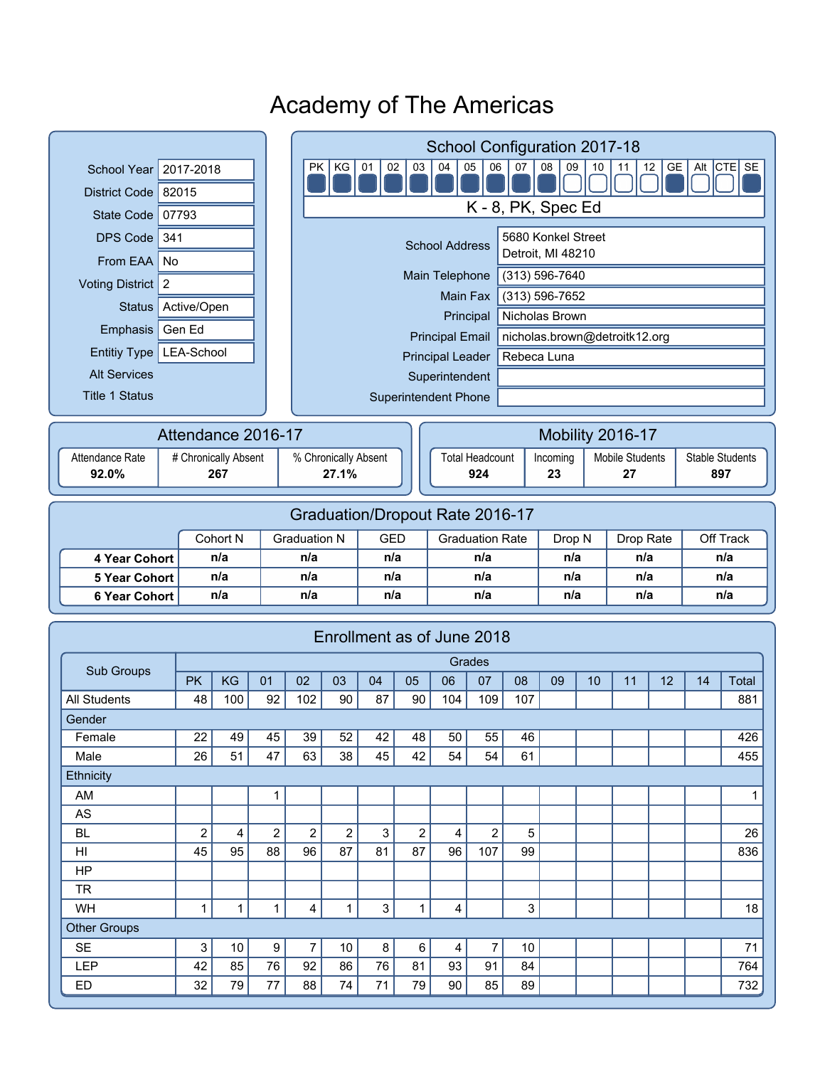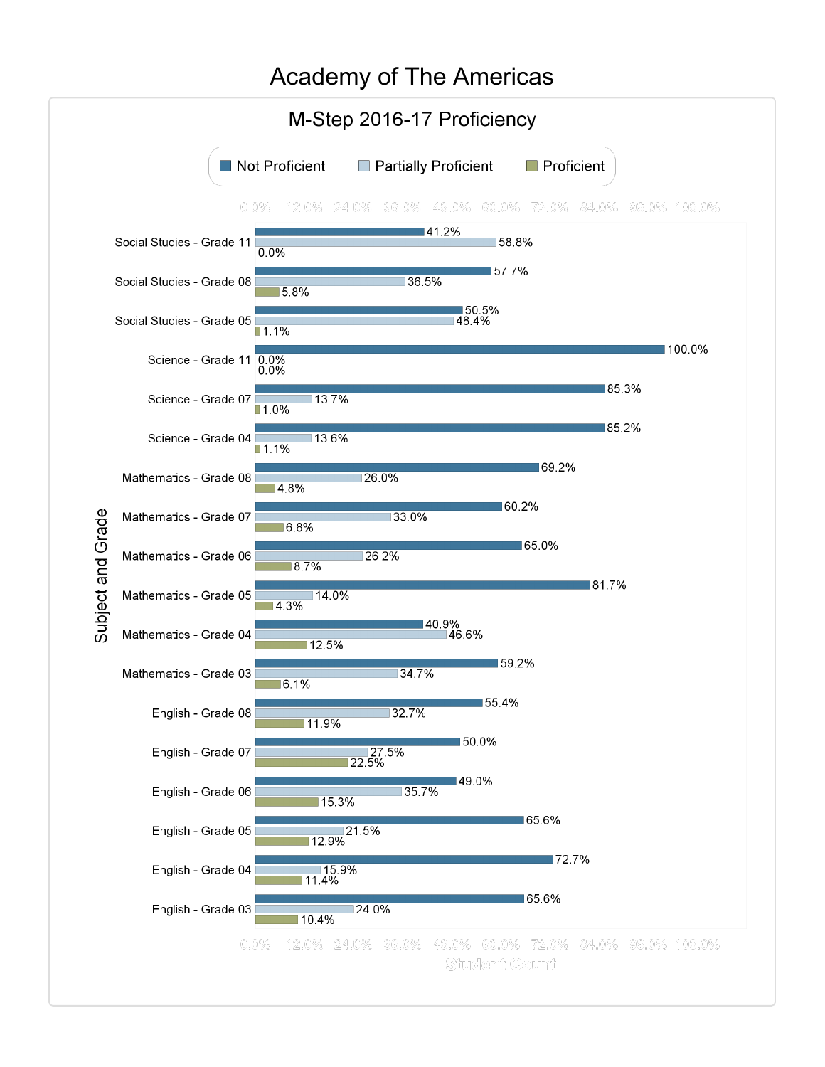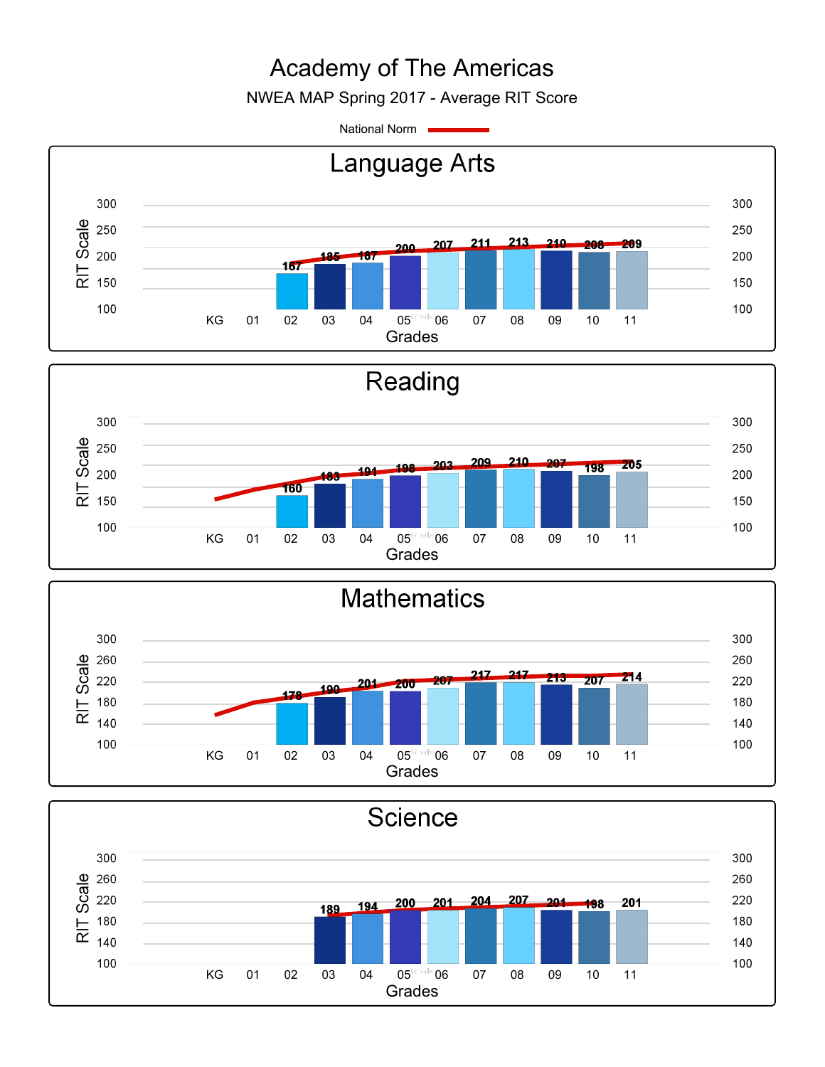NWEA MAP Spring 2017 - Average RIT Score

National Norm